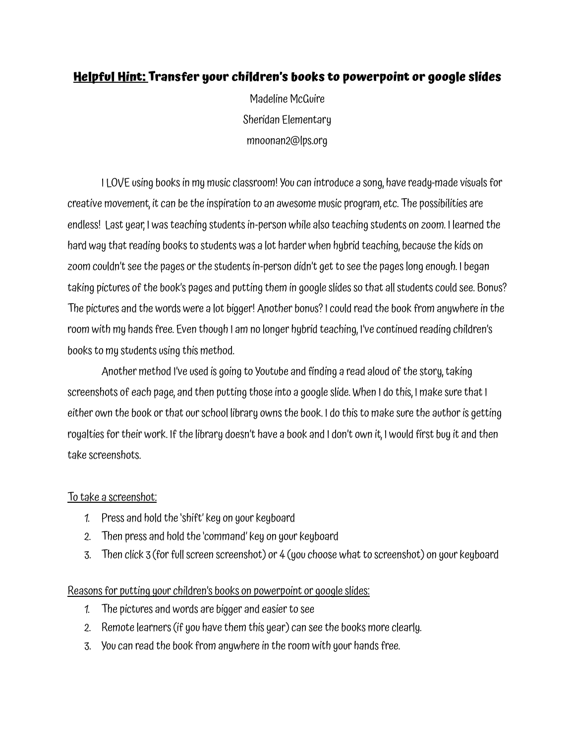## **Helpful Hint: Transfer your children's books to powerpoint or google slides**

Madeline McGuire Sheridan Elementary mnoonan2@lps.org

I LOVE using books in my music classroom! You can introduce a song, have ready-made visuals for creative movement, it can be the inspiration to an awesome music program, etc. The possibilities are endless! Last year, I was teaching students in-person while also teaching students on zoom. I learned the hard way that reading booksto students was a lot harder when hybrid teaching, because the kids on zoom couldn't see the pages or the students in-person didn't get to see the pages long enough. I began taking pictures of the book's pages and putting them in google slides so that all students could see. Bonus? The pictures and the words were a lot bigger! Another bonus?I could read the book from anywhere in the room with my handsfree. Even though I am no longer hybrid teaching, I've continued reading children's books to my students using this method.

Another method I've used is going to Youtube and finding a read aloud of the story, taking screenshots of each page, and then putting those into a google slide. When I do this, I make sure that I either own the book or that our school library owns the book. I do this to make sure the author is getting royalties for their work. If the library doesn't have a book and I don't own it, I would first buy it and then take screenshots.

## To take a screenshot:

- 1. Press and hold the 'shift' key on your keyboard
- 2. Then press and hold the 'command' key on your keyboard
- 3. Then click 3 (forfullscreen screenshot) or 4 (you choose what to screenshot) on your keyboard

## Reasons for putting your children's books on powerpoint or google slides:

- 1. The pictures and words are bigger and easier to see
- 2. Remote learners(if you have them this year) can see the books more clearly.
- 3. You can read the book from anywhere in the room with your handsfree.